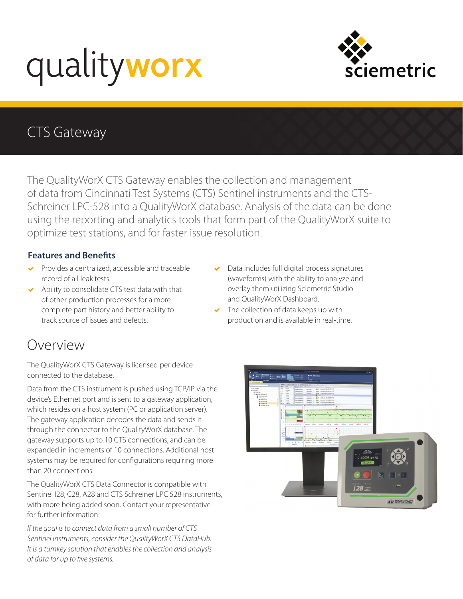# qualityworx



# CTS Gateway

The QualityWorX CTS Gateway enables the collection and management of data from Cincinnati Test Systems (CTS) Sentinel instruments and the CTS-Schreiner LPC-528 into a QualityWorX database. Analysis of the data can be done using the reporting and analytics tools that form part of the QualityWorX suite to optimize test stations, and for faster issue resolution.

### **Features and Benefits**

- ◆ Provides a centralized, accessible and traceable record of all leak tests.
- Ability to consolidate CTS test data with that of other production processes for a more complete part history and better ability to track source of issues and defects.
- Data includes full digital process signatures (waveforms) with the ability to analyze and overlay them utilizing Sciemetric Studio and QualityWorX Dashboard.
- $\blacktriangleright$  The collection of data keeps up with production and is available in real-time.

## Overview

The QualityWorX CTS Gateway is licensed per device connected to the database.

Data from the CTS instrument is pushed using TCP/IP via the device's Ethernet port and is sent to a gateway application, which resides on a host system (PC or application server). The gateway application decodes the data and sends it through the connector to the QualityWorX database. The gateway supports up to 10 CTS connections, and can be expanded in increments of 10 connections. Additional host systems may be required for configurations requiring more than 20 connections.

The QualityWorX CTS Data Connector is compatible with Sentinel I28, C28, A28 and CTS Schreiner LPC 528 instruments, with more being added soon. Contact your representative for further information.

*If the goal is to connect data from a small number of CTS Sentinel instruments, consider the QualityWorX CTS DataHub. It is a turnkey solution that enables the collection and analysis of data for up to five systems.*